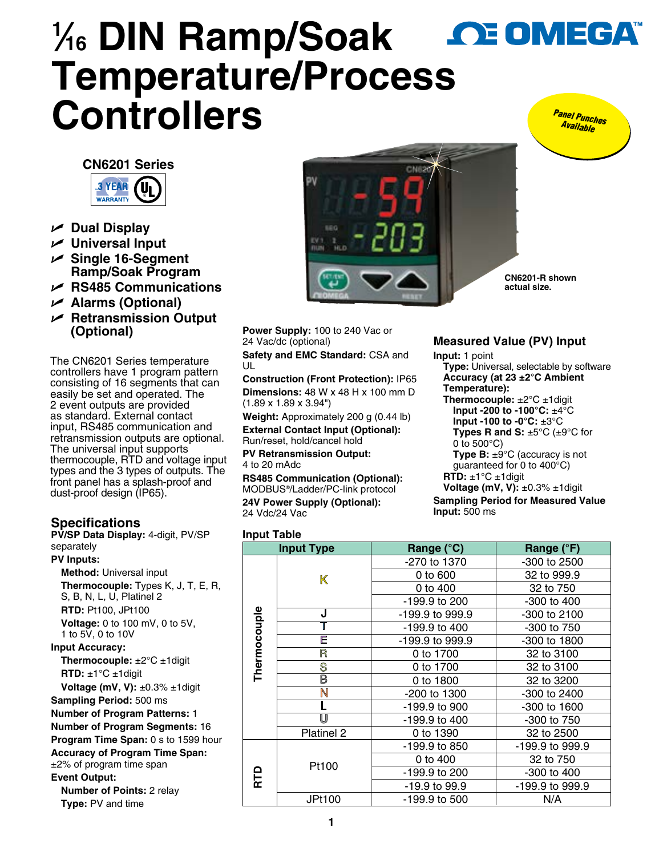# **1 ⁄16 DIN Ramp/Soak OE OMEGA Temperature/Proces[s](www.omega.com)  Controllers**  *Panel Punches Available*





- U **Dual Display**
- U **Universal Input**
- U **Single 16-Segment Ramp/Soak Program**
- U **RS485 Communications**
- U **Alarms (Optional)**
- U **Retransmission Output (Optional)**

The CN6201 Series temperature controllers have 1 program pattern consisting of 16 segments that can easily be set and operated. The 2 event outputs are provided as standard. External contact input, RS485 communication and retransmission outputs are optional. The universal input supports thermocouple, RTD and voltage input types and the 3 types of outputs. The front panel has a splash-proof and dust-proof design (IP65).

# **Specifications**

**PV/SP Data Display:** 4-digit, PV/SP separately

**PV Inputs: Method:** Universal input **Thermocouple:** Types K, J, T, E, R, S, B, N, L, U, Platinel 2 **RTD:** Pt100, JPt100 **Voltage:** 0 to 100 mV, 0 to 5V, 1 to 5V, 0 to 10V **Input Accuracy: Thermocouple:** ±2°C ±1digit **RTD:** ±1°C ±1digit **Voltage (mV, V):** ±0.3% ±1digit **Sampling Period:** 500 ms **Number of Program Patterns:** 1 **Number of Program Segments:** 16 **Program Time Span:** 0 s to 1599 hour **Accuracy of Program Time Span:**  ±2% of program time span **Event Output: Number of Points:** 2 relay **Type:** PV and time



**CN6201-R shown actual size.**

**Power Supply:** 100 to 240 Vac or 24 Vac/dc (optional)

**Safety and EMC Standard:** CSA and UL

**Construction (Front Protection):** IP65 **Dimensions:** 48 W x 48 H x 100 mm D (1.89 x 1.89 x 3.94")

**Weight:** Approximately 200 g (0.44 lb) **External Contact Input (Optional):**  Run/reset, hold/cancel hold

**PV Retransmission Output:** 4 to 20 mAdc

**RS485 Communication (Optional):**  MODBUS®/Ladder/PC-link protocol **24V Power Supply (Optional):**  24 Vdc/24 Vac

## **Measured Value (PV) Input**

**Input:** 1 point

- **Type:** Universal, selectable by software **Accuracy (at 23 ±2°C Ambient Temperature):**
- **Thermocouple:** ±2°C ±1digit **Input -200 to -100°C:** ±4°C **Input -100 to -0°C:** ±3°C **Types R and S:** ±5°C (±9°C for
	- 0 to 500°C) **Type B:**  $\pm 9^{\circ}$ C (accuracy is not
	- guaranteed for 0 to 400°C)
- **RTD:** ±1°C ±1digit

**Voltage (mV, V):** ±0.3% ±1digit **Sampling Period for Measured Value Input:** 500 ms

### **Input Table**

| <b>Input Type</b> |                         | Range (°C)      | Range (°F)      |
|-------------------|-------------------------|-----------------|-----------------|
| Thermocouple      | K                       | -270 to 1370    | -300 to 2500    |
|                   |                         | 0 to 600        | 32 to 999.9     |
|                   |                         | 0 to 400        | 32 to 750       |
|                   |                         | -199.9 to 200   | $-300$ to $400$ |
|                   | J                       | -199.9 to 999.9 | -300 to 2100    |
|                   | T                       | -199.9 to 400   | -300 to 750     |
|                   | Ē                       | -199.9 to 999.9 | -300 to 1800    |
|                   | R                       | 0 to 1700       | 32 to 3100      |
|                   | S                       | 0 to 1700       | 32 to 3100      |
|                   | $\overline{\mathsf{B}}$ | 0 to 1800       | 32 to 3200      |
|                   | N                       | -200 to 1300    | -300 to 2400    |
|                   |                         | -199.9 to 900   | -300 to 1600    |
|                   | U                       | -199.9 to 400   | -300 to 750     |
|                   | Platinel 2              | 0 to 1390       | 32 to 2500      |
| RTD               | Pt100                   | -199.9 to 850   | -199.9 to 999.9 |
|                   |                         | 0 to 400        | 32 to 750       |
|                   |                         | -199.9 to 200   | -300 to 400     |
|                   |                         | -19.9 to 99.9   | -199.9 to 999.9 |
|                   | JPt100                  | -199.9 to 500   | N/A             |